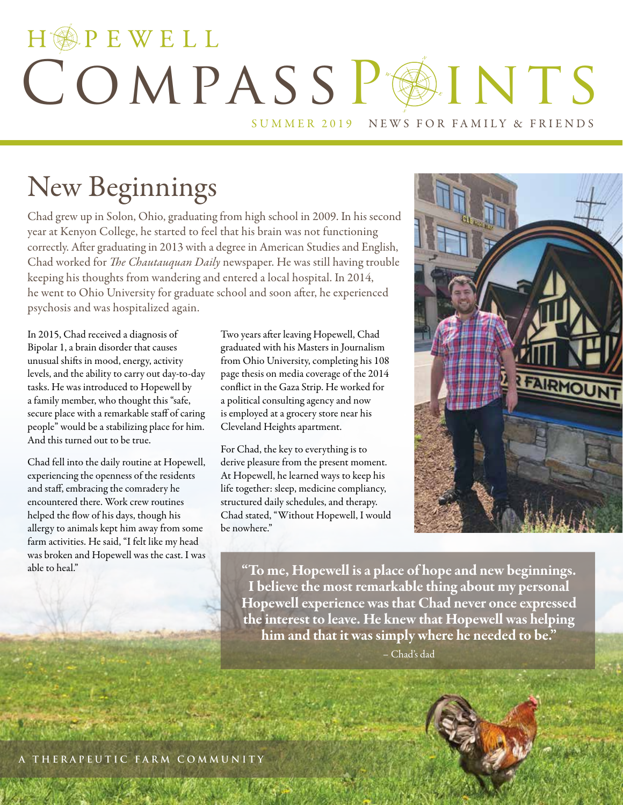## HOPEWELL COMPASSPOINTS SUMMER 2019 NEWS FOR FAMILY & FRIENDS

## New Beginnings

Chad grew up in Solon, Ohio, graduating from high school in 2009. In his second year at Kenyon College, he started to feel that his brain was not functioning correctly. After graduating in 2013 with a degree in American Studies and English, Chad worked for *The Chautauquan Daily* newspaper. He was still having trouble keeping his thoughts from wandering and entered a local hospital. In 2014, he went to Ohio University for graduate school and soon after, he experienced psychosis and was hospitalized again.

In 2015, Chad received a diagnosis of Bipolar 1, a brain disorder that causes unusual shifts in mood, energy, activity levels, and the ability to carry out day-to-day tasks. He was introduced to Hopewell by a family member, who thought this "safe, secure place with a remarkable staff of caring people" would be a stabilizing place for him. And this turned out to be true.

Chad fell into the daily routine at Hopewell, experiencing the openness of the residents and staff, embracing the comradery he encountered there. Work crew routines helped the flow of his days, though his allergy to animals kept him away from some farm activities. He said, "I felt like my head was broken and Hopewell was the cast. I was able to heal."

Two years after leaving Hopewell, Chad graduated with his Masters in Journalism from Ohio University, completing his 108 page thesis on media coverage of the 2014 conflict in the Gaza Strip. He worked for a political consulting agency and now is employed at a grocery store near his Cleveland Heights apartment.

For Chad, the key to everything is to derive pleasure from the present moment. At Hopewell, he learned ways to keep his life together: sleep, medicine compliancy, structured daily schedules, and therapy. Chad stated, "Without Hopewell, I would be nowhere."



"To me, Hopewell is a place of hope and new beginnings. I believe the most remarkable thing about my personal Hopewell experience was that Chad never once expressed the interest to leave. He knew that Hopewell was helping him and that it was simply where he needed to be."

– Chad's dad

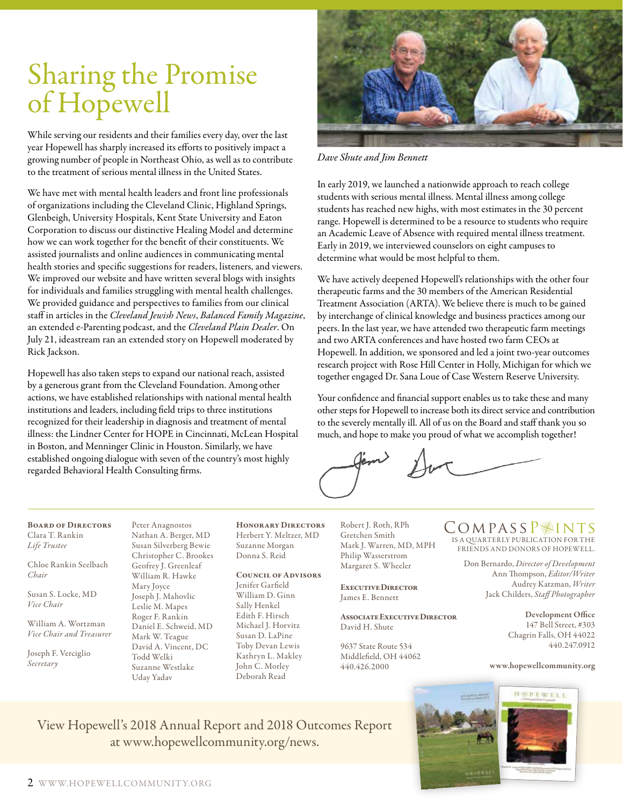## Sharing the Promise of Hopewell

While serving our residents and their families every day, over the last year Hopewell has sharply increased its efforts to positively impact a growing number of people in Northeast Ohio, as well as to contribute to the treatment of serious mental illness in the United States.

We have met with mental health leaders and front line professionals of organizations including the Cleveland Clinic, Highland Springs, Glenbeigh, University Hospitals, Kent State University and Eaton Corporation to discuss our distinctive Healing Model and determine how we can work together for the benefit of their constituents. We assisted journalists and online audiences in communicating mental health stories and specific suggestions for readers, listeners, and viewers. We improved our website and have written several blogs with insights for individuals and families struggling with mental health challenges. We provided guidance and perspectives to families from our clinical staff in articles in the *Cleveland Jewish News*, *Balanced Family Magazine*, an extended e-Parenting podcast, and the *Cleveland Plain Dealer*. On July 21, ideastream ran an extended story on Hopewell moderated by Rick Jackson.

Hopewell has also taken steps to expand our national reach, assisted by a generous grant from the Cleveland Foundation. Among other actions, we have established relationships with national mental health institutions and leaders, including field trips to three institutions recognized for their leadership in diagnosis and treatment of mental illness: the Lindner Center for HOPE in Cincinnati, McLean Hospital in Boston, and Menninger Clinic in Houston. Similarly, we have established ongoing dialogue with seven of the country's most highly regarded Behavioral Health Consulting firms.



*Dave Shute and Jim Bennett*

In early 2019, we launched a nationwide approach to reach college students with serious mental illness. Mental illness among college students has reached new highs, with most estimates in the 30 percent range. Hopewell is determined to be a resource to students who require an Academic Leave of Absence with required mental illness treatment. Early in 2019, we interviewed counselors on eight campuses to determine what would be most helpful to them.

We have actively deepened Hopewell's relationships with the other four therapeutic farms and the 30 members of the American Residential Treatment Association (ARTA). We believe there is much to be gained by interchange of clinical knowledge and business practices among our peers. In the last year, we have attended two therapeutic farm meetings and two ARTA conferences and have hosted two farm CEOs at Hopewell. In addition, we sponsored and led a joint two-year outcomes research project with Rose Hill Center in Holly, Michigan for which we together engaged Dr. Sana Loue of Case Western Reserve University.

Your confidence and financial support enables us to take these and many other steps for Hopewell to increase both its direct service and contribution to the severely mentally ill. All of us on the Board and staff thank you so much, and hope to make you proud of what we accomplish together!

#### Board of Directors Clara T. Rankin *Life Trustee*

Chloe Rankin Seelbach *Chair*

Susan S. Locke, MD *Vice Chair*

William A. Wortzman *Vice Chair and Treasurer*

Joseph F. Verciglio *Secretary*

Peter Anagnostos Nathan A. Berger, MD Susan Silverberg Bewie Christopher C. Brookes Geofrey J. Greenleaf William R. Hawke Mary Joyce Joseph J. Mahovlic Leslie M. Mapes Roger F. Rankin Daniel E. Schweid, MD Mark W. Teague David A. Vincent, DC Todd Welki Suzanne Westlake Uday Yadav

Honorary Directors Herbert Y. Meltzer, MD Suzanne Morgan Donna S. Reid

#### Council of Advisors

Jenifer Garfield William D. Ginn Sally Henkel Edith F. Hirsch Michael J. Horvitz Susan D. LaPine Toby Devan Lewis Kathryn L. Makley John C. Morley Deborah Read

Robert J. Roth, RPh Gretchen Smith Mark J. Warren, MD, MPH Philip Wasserstrom Margaret S. Wheeler

Executive Director James E. Bennett

Associate Executive Director David H. Shute

9637 State Route 534 Middlefield, OH 44062 440.426.2000

#### IS A QUARTERLY PUBLICATION FOR THE FRIENDS AND DONORS OF HOPEWELL. COMPASSP<sup>@</sup>INTS

Don Bernardo, *Director of Development* Ann Thompson, *Editor/Writer* Audrey Katzman, *Writer*  Jack Childers, *Staff Photographer*

> Development Office 147 Bell Street, #303 Chagrin Falls, OH 44022 440.247.0912

#### www.hopewellcommunity.org

View Hopewell's 2018 Annual Report and 2018 Outcomes Report at www.hopewellcommunity.org/news.

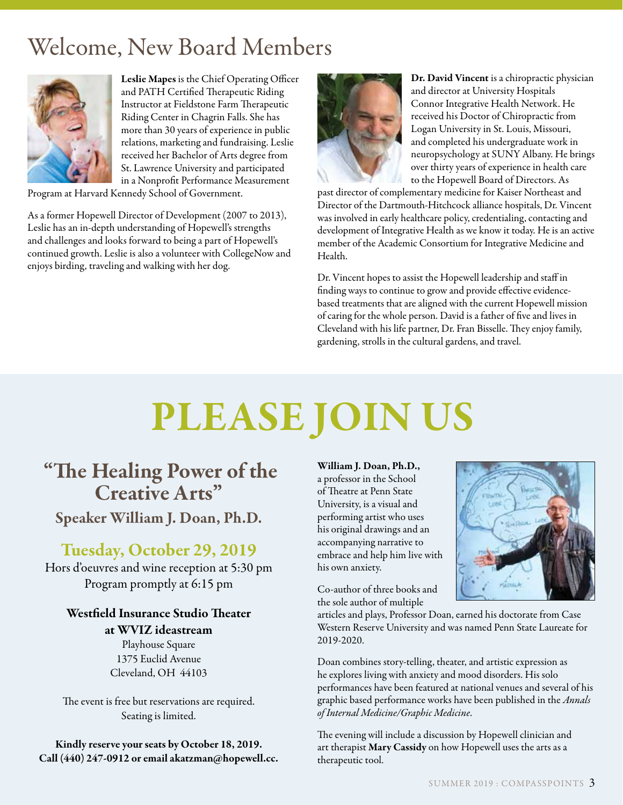## Welcome, New Board Members



Leslie Mapes is the Chief Operating Officer and PATH Certified Therapeutic Riding Instructor at Fieldstone Farm Therapeutic Riding Center in Chagrin Falls. She has more than 30 years of experience in public relations, marketing and fundraising. Leslie received her Bachelor of Arts degree from St. Lawrence University and participated in a Nonprofit Performance Measurement

Program at Harvard Kennedy School of Government.

As a former Hopewell Director of Development (2007 to 2013), Leslie has an in-depth understanding of Hopewell's strengths and challenges and looks forward to being a part of Hopewell's continued growth. Leslie is also a volunteer with CollegeNow and enjoys birding, traveling and walking with her dog.



Dr. David Vincent is a chiropractic physician and director at University Hospitals Connor Integrative Health Network. He received his Doctor of Chiropractic from Logan University in St. Louis, Missouri, and completed his undergraduate work in neuropsychology at SUNY Albany. He brings over thirty years of experience in health care to the Hopewell Board of Directors. As

past director of complementary medicine for Kaiser Northeast and Director of the Dartmouth-Hitchcock alliance hospitals, Dr. Vincent was involved in early healthcare policy, credentialing, contacting and development of Integrative Health as we know it today. He is an active member of the Academic Consortium for Integrative Medicine and Health.

Dr. Vincent hopes to assist the Hopewell leadership and staff in finding ways to continue to grow and provide effective evidencebased treatments that are aligned with the current Hopewell mission of caring for the whole person. David is a father of five and lives in Cleveland with his life partner, Dr. Fran Bisselle. They enjoy family, gardening, strolls in the cultural gardens, and travel.

# PLEASE JOIN US

### "The Healing Power of the Creative Arts" Speaker William J. Doan, Ph.D.

### Tuesday, October 29, 2019

Hors d'oeuvres and wine reception at 5:30 pm Program promptly at 6:15 pm

### Westfield Insurance Studio Theater at WVIZ ideastream

Playhouse Square 1375 Euclid Avenue Cleveland, OH 44103

The event is free but reservations are required. Seating is limited.

Kindly reserve your seats by October 18, 2019. Call (440) 247-0912 or email akatzman@hopewell.cc. William J. Doan, Ph.D., a professor in the School of Theatre at Penn State University, is a visual and performing artist who uses his original drawings and an accompanying narrative to embrace and help him live with his own anxiety.

Co-author of three books and the sole author of multiple



articles and plays, Professor Doan, earned his doctorate from Case Western Reserve University and was named Penn State Laureate for 2019-2020.

Doan combines story-telling, theater, and artistic expression as he explores living with anxiety and mood disorders. His solo performances have been featured at national venues and several of his graphic based performance works have been published in the *Annals of Internal Medicine/Graphic Medicine*.

The evening will include a discussion by Hopewell clinician and art therapist Mary Cassidy on how Hopewell uses the arts as a therapeutic tool.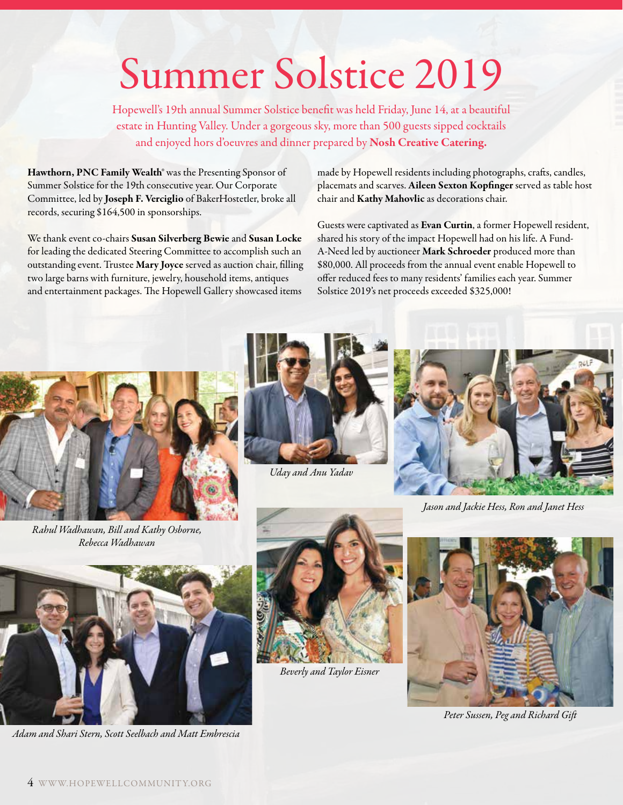# Summer Solstice 2019

Hopewell's 19th annual Summer Solstice benefit was held Friday, June 14, at a beautiful estate in Hunting Valley. Under a gorgeous sky, more than 500 guests sipped cocktails and enjoyed hors d'oeuvres and dinner prepared by Nosh Creative Catering.

Hawthorn, PNC Family Wealth® was the Presenting Sponsor of Summer Solstice for the 19th consecutive year. Our Corporate Committee, led by Joseph F. Verciglio of BakerHostetler, broke all records, securing \$164,500 in sponsorships.

We thank event co-chairs Susan Silverberg Bewie and Susan Locke for leading the dedicated Steering Committee to accomplish such an outstanding event. Trustee Mary Joyce served as auction chair, filling two large barns with furniture, jewelry, household items, antiques and entertainment packages. The Hopewell Gallery showcased items

made by Hopewell residents including photographs, crafts, candles, placemats and scarves. Aileen Sexton Kopfinger served as table host chair and Kathy Mahovlic as decorations chair.

Guests were captivated as Evan Curtin, a former Hopewell resident, shared his story of the impact Hopewell had on his life. A Fund-A-Need led by auctioneer Mark Schroeder produced more than \$80,000. All proceeds from the annual event enable Hopewell to offer reduced fees to many residents' families each year. Summer Solstice 2019's net proceeds exceeded \$325,000!



*Rahul Wadhawan, Bill and Kathy Osborne, Rebecca Wadhawan*



*Uday and Anu Yadav*



*Jason and Jackie Hess, Ron and Janet Hess*



*Adam and Shari Stern, Scott Seelbach and Matt Embrescia*



*Beverly and Taylor Eisner*



*Peter Sussen, Peg and Richard Gift*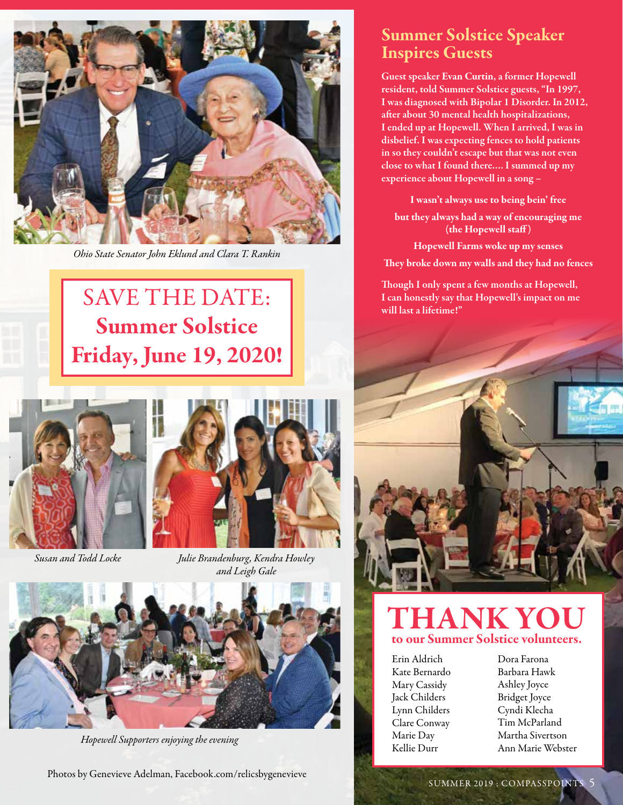

*Ohio State Senator John Eklund and Clara T. Rankin*

## SAVE THE DATE: Summer Solstice Friday, June 19, 2020!





*Susan and Todd Locke Julie Brandenburg, Kendra Howley and Leigh Gale*



*Hopewell Supporters enjoying the evening*

### Summer Solstice Speaker Inspires Guests

Guest speaker Evan Curtin, a former Hopewell resident, told Summer Solstice guests, "In 1997, I was diagnosed with Bipolar 1 Disorder. In 2012, after about 30 mental health hospitalizations, I ended up at Hopewell. When I arrived, I was in disbelief. I was expecting fences to hold patients in so they couldn't escape but that was not even close to what I found there…. I summed up my experience about Hopewell in a song –

I wasn't always use to being bein' free

but they always had a way of encouraging me (the Hopewell staff)

Hopewell Farms woke up my senses

They broke down my walls and they had no fences

Though I only spent a few months at Hopewell, I can honestly say that Hopewell's impact on me will last a lifetime!"



### THANK YOU to our Summer Solstice volunteers.

Erin Aldrich Kate Bernardo Mary Cassidy Jack Childers Lynn Childers Clare Conway Marie Day Kellie Durr

Dora Farona Barbara Hawk Ashley Joyce Bridget Joyce Cyndi Klecha Tim McParland Martha Sivertson Ann Marie Webster

Photos by Genevieve Adelman, Facebook.com/relicsbygenevieve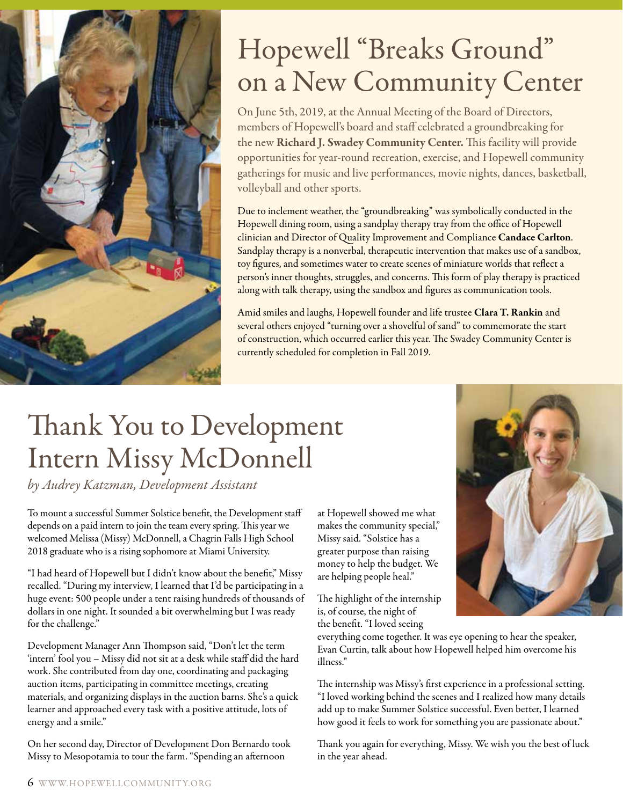

## Hopewell "Breaks Ground" on a New Community Center

On June 5th, 2019, at the Annual Meeting of the Board of Directors, members of Hopewell's board and staff celebrated a groundbreaking for the new Richard J. Swadey Community Center. This facility will provide opportunities for year-round recreation, exercise, and Hopewell community gatherings for music and live performances, movie nights, dances, basketball, volleyball and other sports.

Due to inclement weather, the "groundbreaking" was symbolically conducted in the Hopewell dining room, using a sandplay therapy tray from the office of Hopewell clinician and Director of Quality Improvement and Compliance Candace Carlton. Sandplay therapy is a nonverbal, therapeutic intervention that makes use of a sandbox, toy figures, and sometimes water to create scenes of miniature worlds that reflect a person's inner thoughts, struggles, and concerns. This form of play therapy is practiced along with talk therapy, using the sandbox and figures as communication tools.

Amid smiles and laughs, Hopewell founder and life trustee Clara T. Rankin and several others enjoyed "turning over a shovelful of sand" to commemorate the start of construction, which occurred earlier this year. The Swadey Community Center is currently scheduled for completion in Fall 2019.

## Thank You to Development Intern Missy McDonnell

*by Audrey Katzman, Development Assistant*

To mount a successful Summer Solstice benefit, the Development staff depends on a paid intern to join the team every spring. This year we welcomed Melissa (Missy) McDonnell, a Chagrin Falls High School 2018 graduate who is a rising sophomore at Miami University.

"I had heard of Hopewell but I didn't know about the benefit," Missy recalled. "During my interview, I learned that I'd be participating in a huge event: 500 people under a tent raising hundreds of thousands of dollars in one night. It sounded a bit overwhelming but I was ready for the challenge."

Development Manager Ann Thompson said, "Don't let the term 'intern' fool you – Missy did not sit at a desk while staff did the hard work. She contributed from day one, coordinating and packaging auction items, participating in committee meetings, creating materials, and organizing displays in the auction barns. She's a quick learner and approached every task with a positive attitude, lots of energy and a smile."

On her second day, Director of Development Don Bernardo took Missy to Mesopotamia to tour the farm. "Spending an afternoon

at Hopewell showed me what makes the community special," Missy said. "Solstice has a greater purpose than raising money to help the budget. We are helping people heal."

The highlight of the internship is, of course, the night of the benefit. "I loved seeing

everything come together. It was eye opening to hear the speaker, Evan Curtin, talk about how Hopewell helped him overcome his illness."

The internship was Missy's first experience in a professional setting. "I loved working behind the scenes and I realized how many details add up to make Summer Solstice successful. Even better, I learned how good it feels to work for something you are passionate about."

Thank you again for everything, Missy. We wish you the best of luck in the year ahead.

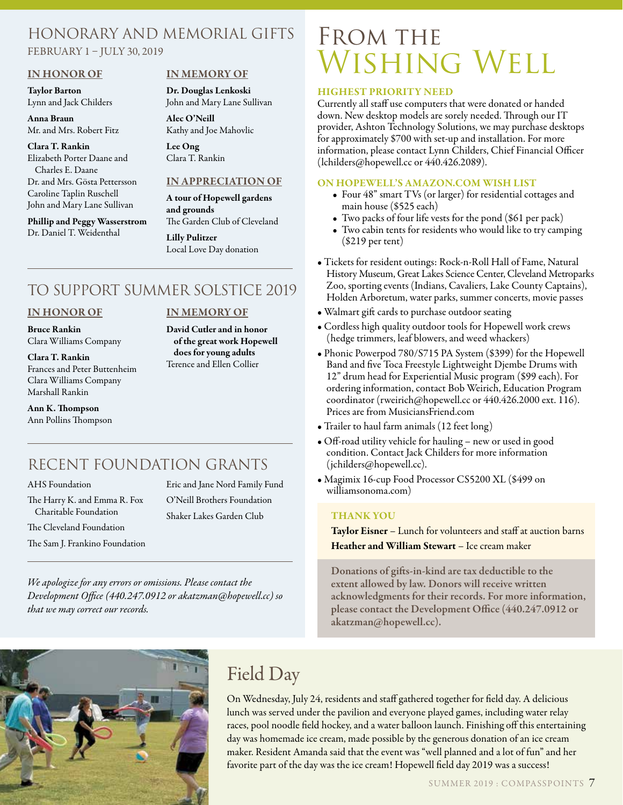#### Honorary and Memorial Gifts FEBRUARY 1 – JULY 30, 2019

#### IN HONOR OF

Taylor Barton Lynn and Jack Childers

Anna Braun Mr. and Mrs. Robert Fitz

#### Clara T. Rankin

Elizabeth Porter Daane and Charles E. Daane Dr. and Mrs. Gösta Pettersson Caroline Taplin Ruschell John and Mary Lane Sullivan

#### Phillip and Peggy Wasserstrom Dr. Daniel T. Weidenthal

#### IN MEMORY OF

Dr. Douglas Lenkoski John and Mary Lane Sullivan

Alec O'Neill Kathy and Joe Mahovlic

Lee Ong Clara T. Rankin

#### IN APPRECIATION OF

A tour of Hopewell gardens and grounds The Garden Club of Cleveland

Lilly Pulitzer Local Love Day donation

IN MEMORY OF David Cutler and in honor of the great work Hopewell does for young adults Terence and Ellen Collier

### TO SUPPORT SUMMER SOLSTICE 2019

#### IN HONOR OF

Bruce Rankin Clara Williams Company

Clara T. Rankin Frances and Peter Buttenheim Clara Williams Company Marshall Rankin

Ann K. Thompson Ann Pollins Thompson

### RECENT FOUNDATION GRANTS

AHS Foundation

The Harry K. and Emma R. Fox Charitable Foundation The Cleveland Foundation

The Sam J. Frankino Foundation

Eric and Jane Nord Family Fund O'Neill Brothers Foundation Shaker Lakes Garden Club

*We apologize for any errors or omissions. Please contact the Development Office (440.247.0912 or akatzman@hopewell.cc) so that we may correct our records.*

## FROM THE WISHING WELL

#### HIGHEST PRIORITY NEED

Currently all staff use computers that were donated or handed down. New desktop models are sorely needed. Through our IT provider, Ashton Technology Solutions, we may purchase desktops for approximately \$700 with set-up and installation. For more information, please contact Lynn Childers, Chief Financial Officer (lchilders@hopewell.cc or 440.426.2089).

#### ON HOPEWELL'S AMAZON.COM WISH LIST

- Four 48" smart TVs (or larger) for residential cottages and main house (\$525 each)
- Two packs of four life vests for the pond (\$61 per pack)
- Two cabin tents for residents who would like to try camping (\$219 per tent)
- Tickets for resident outings: Rock-n-Roll Hall of Fame, Natural History Museum, Great Lakes Science Center, Cleveland Metroparks Zoo, sporting events (Indians, Cavaliers, Lake County Captains), Holden Arboretum, water parks, summer concerts, movie passes
- Walmart gift cards to purchase outdoor seating
- Cordless high quality outdoor tools for Hopewell work crews (hedge trimmers, leaf blowers, and weed whackers)
- Phonic Powerpod 780/S715 PA System (\$399) for the Hopewell Band and five Toca Freestyle Lightweight Djembe Drums with 12" drum head for Experiential Music program (\$99 each). For ordering information, contact Bob Weirich, Education Program coordinator (rweirich@hopewell.cc or 440.426.2000 ext. 116). Prices are from MusiciansFriend.com
- Trailer to haul farm animals (12 feet long)
- Off-road utility vehicle for hauling new or used in good condition. Contact Jack Childers for more information (jchilders@hopewell.cc).
- Magimix 16-cup Food Processor CS5200 XL (\$499 on williamsonoma.com)

#### THANK YOU

Taylor Eisner - Lunch for volunteers and staff at auction barns Heather and William Stewart – Ice cream maker

Donations of gifts-in-kind are tax deductible to the extent allowed by law. Donors will receive written acknowledgments for their records. For more information, please contact the Development Office (440.247.0912 or akatzman@hopewell.cc).



### Field Day

On Wednesday, July 24, residents and staff gathered together for field day. A delicious lunch was served under the pavilion and everyone played games, including water relay races, pool noodle field hockey, and a water balloon launch. Finishing off this entertaining day was homemade ice cream, made possible by the generous donation of an ice cream maker. Resident Amanda said that the event was "well planned and a lot of fun" and her favorite part of the day was the ice cream! Hopewell field day 2019 was a success!